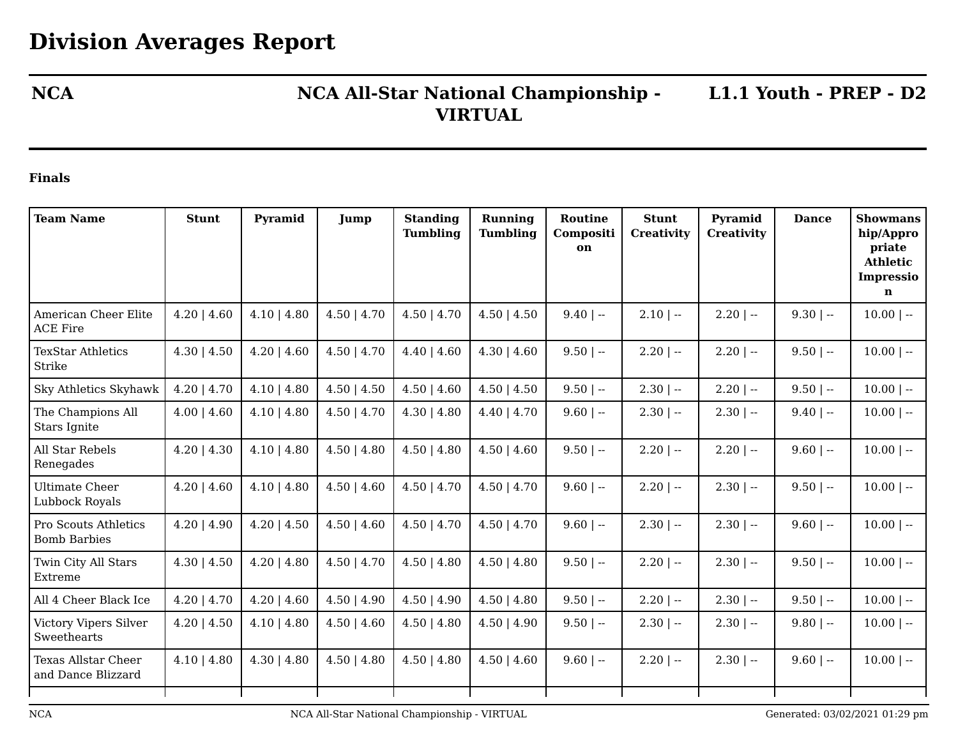## **NCA NCA All-Star National Championship - L1.1 Youth - PREP - D2 VIRTUAL**

## **Finals**

| <b>Team Name</b>                                 | <b>Stunt</b>    | Pyramid          | Jump             | <b>Standing</b><br><b>Tumbling</b> | Running<br><b>Tumbling</b> | Routine<br>Compositi<br>on | <b>Stunt</b><br><b>Creativity</b> | Pyramid<br><b>Creativity</b> | <b>Dance</b> | <b>Showmans</b><br>hip/Appro<br>priate<br><b>Athletic</b><br><b>Impressio</b><br>$\mathbf n$ |
|--------------------------------------------------|-----------------|------------------|------------------|------------------------------------|----------------------------|----------------------------|-----------------------------------|------------------------------|--------------|----------------------------------------------------------------------------------------------|
| American Cheer Elite<br><b>ACE Fire</b>          | $4.20$   $4.60$ | $4.10$   $4.80$  | $4.50$   $4.70$  | $4.50$   $4.70$                    | $4.50$   $4.50$            | $9.40$   $-$               | $2.10$   --                       | $2.20$   --                  | $9.30$   --  | $10.00$   --                                                                                 |
| <b>TexStar Athletics</b><br>Strike               | $4.30$   $4.50$ | $4.20$   $4.60$  | $4.50$   $4.70$  | $4.40$   $4.60$                    | $4.30 \mid 4.60$           | $9.50$   --                | $2.20$   $-$                      | $2.20$   --                  | $9.50$   --  | $10.00$   --                                                                                 |
| Sky Athletics Skyhawk                            | $4.20$   $4.70$ | $4.10$   $4.80$  | $4.50$   $4.50$  | $4.50$   $4.60$                    | $4.50 \mid 4.50$           | $9.50$   --                | $2.30$   --                       | $2.20$   --                  | $9.50$   --  | $10.00$   --                                                                                 |
| The Champions All<br>Stars Ignite                | $4.00$   $4.60$ | $4.10$   $4.80$  | $4.50 \mid 4.70$ | $4.30 \mid 4.80$                   | $4.40$   $4.70$            | $9.60$   --                | $2.30$   --                       | $2.30$   --                  | $9.40$   --  | $10.00$   --                                                                                 |
| All Star Rebels<br>Renegades                     | $4.20$   $4.30$ | $4.10$   $4.80$  | $4.50$   $4.80$  | $4.50$   $4.80$                    | $4.50 \mid 4.60$           | $9.50$   $-$               | $2.20$   --                       | $2.20$   --                  | $9.60$   --  | $10.00$   --                                                                                 |
| Ultimate Cheer<br>Lubbock Royals                 | $4.20$   $4.60$ | $4.10$   $4.80$  | $4.50$   $4.60$  | $4.50$   $4.70$                    | $4.50$   $4.70$            | $9.60$   --                | $2.20$   --                       | $2.30$   --                  | $9.50$   --  | $10.00$   --                                                                                 |
| Pro Scouts Athletics<br><b>Bomb Barbies</b>      | $4.20$   $4.90$ | $4.20$   $4.50$  | $4.50$   $4.60$  | $4.50$   $4.70$                    | $4.50$   $4.70$            | $9.60$   --                | $2.30$   --                       | $2.30$   --                  | $9.60$   --  | $10.00$   --                                                                                 |
| Twin City All Stars<br>Extreme                   | $4.30$   $4.50$ | $4.20$   $4.80$  | $4.50$   $4.70$  | $4.50$   $4.80$                    | $4.50$   $4.80$            | $9.50$   --                | $2.20$   --                       | $2.30$   --                  | $9.50$   --  | $10.00$   --                                                                                 |
| All 4 Cheer Black Ice                            | $4.20$   $4.70$ | $4.20$   $4.60$  | $4.50$   $4.90$  | $4.50$   $4.90$                    | $4.50$   $4.80$            | $9.50$   --                | $2.20$   $-$                      | $2.30$   --                  | $9.50$   --  | $10.00$   --                                                                                 |
| Victory Vipers Silver<br>Sweethearts             | $4.20$   $4.50$ | $4.10$   $4.80$  | $4.50 \mid 4.60$ | $4.50$   $4.80$                    | $4.50 \mid 4.90$           | $9.50$   --                | $2.30$   --                       | $2.30$   --                  | $9.80$   --  | $10.00$   --                                                                                 |
| <b>Texas Allstar Cheer</b><br>and Dance Blizzard | $4.10$   $4.80$ | $4.30 \mid 4.80$ | $4.50 \mid 4.80$ | $4.50$   $4.80$                    | $4.50 \mid 4.60$           | $9.60$   --                | $2.20$   --                       | $2.30$   --                  | $9.60$   --  | $10.00$   --                                                                                 |